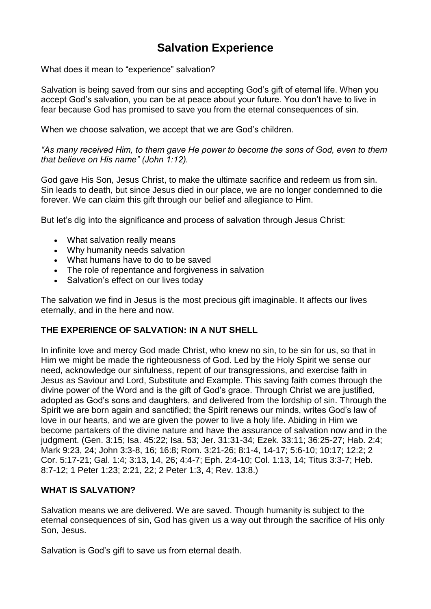# **Salvation Experience**

What does it mean to "experience" salvation?

Salvation is being [saved](https://www.adventist.org/nature-of-humanity/) from our sins and accepting God's gift of eternal life. When you accept God's salvation, you can be at peace about your future. You don't have to live in fear because [God](https://www.adventist.org/father/) has promised to save you from the eternal [consequences](https://www.adventist.org/millennium-and-the-end-of-sin/) of sin.

When we choose salvation, we accept that we are God's children.

*"As many received Him, to them gave He power to become the sons of God, even to them that believe on His name" (John 1:12).*

God gave His Son, Jesus [Christ,](https://www.adventist.org/son/) to make the ultimate sacrifice and redeem us from sin. Sin leads to death, but since Jesus died in our place, we are no longer [condemned](https://www.adventist.org/death-and-resurrection/) to die [forever.](https://www.adventist.org/death-and-resurrection/) We can claim this gift through our belief and allegiance to Him.

But let's dig into the significance and process of salvation through Jesus Christ:

- What [salvation](https://www.adventist.org/experience-of-salvation/#meaning) really means
- Why [humanity](https://www.adventist.org/experience-of-salvation/#needs) needs salvation
- What [humans](https://www.adventist.org/experience-of-salvation/#steps) have to do to be saved
- The role of repentance and [forgiveness](https://www.adventist.org/experience-of-salvation/#repent) in salvation
- [Salvation's](https://www.adventist.org/experience-of-salvation/#effects) effect on our lives today

The salvation we find in Jesus is the most precious gift imaginable. It affects our lives eternally, and in the here and now.

# **THE EXPERIENCE OF SALVATION: IN A NUT SHELL**

In infinite love and mercy God made Christ, who knew no sin, to be sin for us, so that in Him we might be made the righteousness of God. Led by the Holy Spirit we sense our need, acknowledge our sinfulness, repent of our transgressions, and exercise faith in Jesus as Saviour and Lord, Substitute and Example. This saving faith comes through the divine power of the Word and is the gift of God's grace. Through Christ we are justified, adopted as God's sons and daughters, and delivered from the lordship of sin. Through the Spirit we are born again and sanctified; the Spirit renews our minds, writes God's law of love in our hearts, and we are given the power to live a holy life. Abiding in Him we become partakers of the divine nature and have the assurance of salvation now and in the judgment. (Gen. 3:15; Isa. 45:22; Isa. 53; Jer. 31:31-34; Ezek. 33:11; 36:25-27; Hab. 2:4; Mark 9:23, 24; John 3:3-8, 16; 16:8; Rom. 3:21-26; 8:1-4, 14-17; 5:6-10; 10:17; 12:2; 2 Cor. 5:17-21; Gal. 1:4; 3:13, 14, 26; 4:4-7; Eph. 2:4-10; Col. 1:13, 14; Titus 3:3-7; Heb. 8:7-12; 1 Peter 1:23; 2:21, 22; 2 Peter 1:3, 4; Rev. 13:8.)

# **WHAT IS SALVATION?**

Salvation means we are delivered. We are saved. Though humanity is subject to the eternal consequences of sin, God has given us a way out through the sacrifice of His only Son, Jesus.

Salvation is God's gift to save us from eternal death.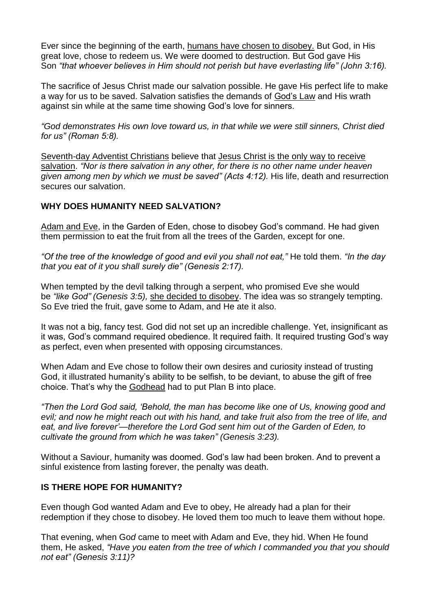Ever since the beginning of the earth, humans have chosen to [disobey.](https://www.adventist.org/the-great-controversy/) But God, in His great love, chose to redeem us. We were doomed to destruction. But God gave His Son *"that whoever believes in Him should not perish but have everlasting life" (John 3:16).*

The sacrifice of Jesus Christ made our salvation possible. He gave His perfect life to make a way for us to be saved. Salvation satisfies the demands of [God's](https://www.adventist.org/the-law-of-god/) Law and His wrath against sin while at the same time showing God's love for sinners.

*"God demonstrates His own love toward us, in that while we were still sinners, Christ died for us" (Roman 5:8).*

[Seventh-day](https://www.adventist.org/who-are-seventh-day-adventists/) Adventist Christians believe that Jesus Christ is the only way to [receive](https://www.adventist.org/who-are-seventh-day-adventists/salvation-in-jesus-alone/) [salvation.](https://www.adventist.org/who-are-seventh-day-adventists/salvation-in-jesus-alone/) *"Nor is there salvation in any other, for there is no other name under heaven given among men by which we must be saved" (Acts 4:12).* His life, death and resurrection secures our salvation.

### **WHY DOES HUMANITY NEED SALVATION?**

[Adam](https://www.adventist.org/creation/) and Eve, in the Garden of Eden, chose to disobey God's command. He had given them permission to eat the fruit from all the trees of the Garden, except for one.

*"Of the tree of the knowledge of good and evil you shall not eat,"* He told them. *"In the day that you eat of it you shall surely die" (Genesis 2:17).*

When tempted by the devil talking through a serpent, who promised Eve she would be *"like God" (Genesis 3:5),* she decided to [disobey.](https://www.adventist.org/nature-of-humanity/human-nature/) The idea was so strangely tempting. So Eve tried the fruit, gave some to Adam, and He ate it also.

It was not a big, fancy test. God did not set up an incredible challenge. Yet, insignificant as it was, God's command required obedience. It required faith. It required trusting God's way as perfect, even when presented with opposing circumstances.

When Adam and Eve chose to follow their own desires and curiosity instead of trusting God, it illustrated humanity's ability to be selfish, to be deviant, to abuse the gift of free choice. That's why the [Godhead](https://www.adventist.org/trinity/) had to put Plan B into place.

*"Then the Lord God said, 'Behold, the man has become like one of Us, knowing good and evil; and now he might reach out with his hand, and take fruit also from the tree of life, and eat, and live forever'—therefore the Lord God sent him out of the Garden of Eden, to cultivate the ground from which he was taken" (Genesis 3:23).*

Without a Saviour, humanity was doomed. God's law had been broken. And to prevent a sinful existence from lasting forever, the penalty was death.

#### **IS THERE HOPE FOR HUMANITY?**

Even though God wanted Adam and Eve to obey, He already had a plan for their redemption if they chose to disobey. He loved them too much to leave them without hope.

That evening, when Go*d* came to meet with Adam and Eve, they hid. When He found them, He asked, *"Have you eaten from the tree of which I commanded you that you should not eat" (Genesis 3:11)?*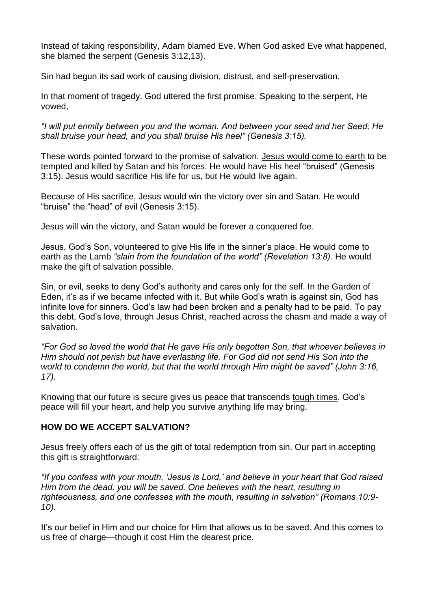Instead of taking responsibility, Adam blamed Eve. When God asked Eve what happened, she blamed the serpent (Genesis 3:12,13).

Sin had begun its sad work of causing division, distrust, and self-preservation.

In that moment of tragedy, God uttered the first promise. Speaking to the serpent, He vowed,

*"I will put enmity between you and the woman. And between your seed and her Seed; He shall bruise your head, and you shall bruise His heel" (Genesis 3:15).*

These words pointed forward to the promise of salvation. [Jesus](https://www.adventist.org/life-death-and-resurrection-of-christ/) would come to earth to be tempted and killed by Satan and his forces. He would have His heel "bruised" (Genesis 3:15). Jesus would sacrifice His life for us, but He would live again.

Because of His sacrifice, Jesus would win the victory over sin and Satan. He would "bruise" the "head" of evil (Genesis 3:15).

Jesus will win the victory, and Satan would be forever a conquered foe.

Jesus, God's Son, volunteered to give His life in the sinner's place. He would come to earth as the Lamb *"slain from the foundation of the world" (Revelation 13:8).* He would make the gift of salvation possible.

Sin, or evil, seeks to deny God's authority and cares only for the self. In the Garden of Eden, it's as if we became infected with it. But while God's wrath is against sin, God has infinite love for sinners. God's law had been broken and a penalty had to be paid. To pay this debt, God's love, through Jesus Christ, reached across the chasm and made a way of salvation.

*"For God so loved the world that He gave His only begotten Son, that whoever believes in Him should not perish but have everlasting life. For God did not send His Son into the world to condemn the world, but that the world through Him might be saved" (John 3:16, 17).*

Knowing that our future is secure gives us peace that transcends tough [times.](https://www.adventist.org/experience-of-salvation/the-heartbeat-of-forgiveness/) God's peace will fill your heart, and help you survive anything life may bring.

# **HOW DO WE ACCEPT SALVATION?**

Jesus freely offers each of us the gift of total redemption from sin. Our part in accepting this gift is straightforward:

*"If you confess with your mouth, 'Jesus is Lord,' and believe in your heart that God raised Him from the dead, you will be saved. One believes with the heart, resulting in righteousness, and one confesses with the mouth, resulting in salvation" (Romans 10:9- 10).*

It's our belief in Him and our choice for Him that allows us to be saved. And this comes to us free of charge—though it cost Him the dearest price.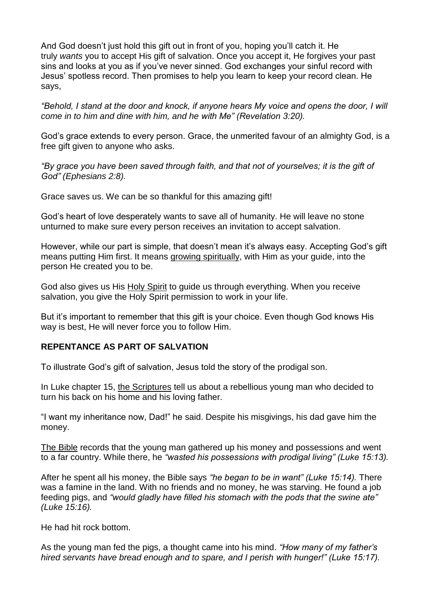And God doesn't just hold this gift out in front of you, hoping you'll catch it. He truly *wants* you to accept His gift of salvation. Once you accept it, He forgives your past sins and looks at you as if you've never sinned. God exchanges your sinful record with Jesus' spotless record. Then promises to help you learn to keep your record clean. He says,

*"Behold, I stand at the door and knock, if anyone hears My voice and opens the door, I will come in to him and dine with him, and he with Me" (Revelation 3:20).*

God's grace extends to every person. Grace, the unmerited favour of an almighty God, is a free gift given to anyone who asks.

*"By grace you have been saved through faith, and that not of yourselves; it is the gift of God" (Ephesians 2:8).*

Grace saves us. We can be so thankful for this amazing gift!

God's heart of love desperately wants to save all of humanity. He will leave no stone unturned to make sure every person receives an invitation to accept salvation.

However, while our part is simple, that doesn't mean it's always easy. Accepting God's gift means putting Him first. It means growing [spiritually,](https://www.adventist.org/growing-in-christ/) with Him as your guide, into the person He created you to be.

God also gives us His Holy [Spirit](https://www.adventist.org/holy-spirit/) to guide us through everything. When you receive salvation, you give the Holy Spirit permission to work in your life.

But it's important to remember that this gift is your choice. Even though God knows His way is best, He will never force you to follow Him.

#### **REPENTANCE AS PART OF SALVATION**

To illustrate God's gift of salvation, Jesus told the story of the prodigal son.

In Luke chapter 15, the [Scriptures](https://www.adventist.org/holy-scriptures/) tell us about a rebellious young man who decided to turn his back on his home and his loving father.

"I want my inheritance now, Dad!" he said. Despite his misgivings, his dad gave him the money.

The [Bible](https://www.adventist.org/who-are-seventh-day-adventists/bible-reveals-god/) records that the young man gathered up his money and possessions and went to a far country. While there, he *"wasted his possessions with prodigal living" (Luke 15:13).*

After he spent all his money, the Bible says *"he began to be in want" (Luke 15:14).* There was a famine in the land. With no friends and no money, he was starving. He found a job feeding pigs, and *"would gladly have filled his stomach with the pods that the swine ate" (Luke 15:16).*

He had hit rock bottom.

As the young man fed the pigs, a thought came into his mind. *"How many of my father's hired servants have bread enough and to spare, and I perish with hunger!" (Luke 15:17).*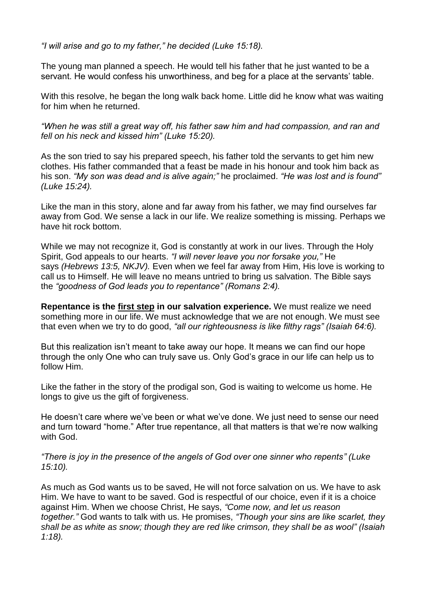*"I will arise and go to my father," he decided (Luke 15:18).*

The young man planned a speech. He would tell his father that he just wanted to be a servant. He would confess his unworthiness, and beg for a place at the servants' table.

With this resolve, he began the long walk back home. Little did he know what was waiting for him when he returned.

*"When he was still a great way off, his father saw him and had compassion, and ran and fell on his neck and kissed him" (Luke 15:20).*

As the son tried to say his prepared speech, his father told the servants to get him new clothes. His father commanded that a feast be made in his honour and took him back as his son. *"My son was dead and is alive again;"* he proclaimed. *"He was lost and is found" (Luke 15:24).*

Like the man in this story, alone and far away from his father, we may find ourselves far away from God. We sense a lack in our life. We realize something is missing. Perhaps we have hit rock bottom.

While we may not recognize it, God is constantly at work in our lives. Through the Holy Spirit, God appeals to our hearts. *"I will never leave you nor forsake you,"* He says *(Hebrews 13:5, NKJV).* Even when we feel far away from Him, His love is working to call us to Himself. He will leave no means untried to bring us salvation. The Bible says the *"goodness of God leads you to repentance" (Romans 2:4).*

**Repentance is the first [step](https://www.adventist.org/experience-of-salvation/5-steps-to-salvation/) in our salvation experience.** We must realize we need something more in our life. We must acknowledge that we are not enough. We must see that even when we try to do good, *"all our righteousness is like filthy rags" (Isaiah 64:6).*

But this realization isn't meant to take away our hope. It means we can find our hope through the only One who can truly save us. Only God's grace in our life can help us to follow Him.

Like the father in the story of the prodigal son, God is waiting to welcome us home. He longs to give us the gift of forgiveness.

He doesn't care where we've been or what we've done. We just need to sense our need and turn toward "home." After true repentance, all that matters is that we're now walking with God.

*"There is joy in the presence of the angels of God over one sinner who repents" (Luke 15:10).*

As much as God wants us to be saved, He will not force salvation on us. We have to ask Him. We have to want to be saved. God is respectful of our choice, even if it is a choice against Him. When we choose Christ, He says, *"Come now, and let us reason together."* God wants to talk with us. He promises, *"Though your sins are like scarlet, they shall be as white as snow; though they are red like crimson, they shall be as wool" (Isaiah 1:18).*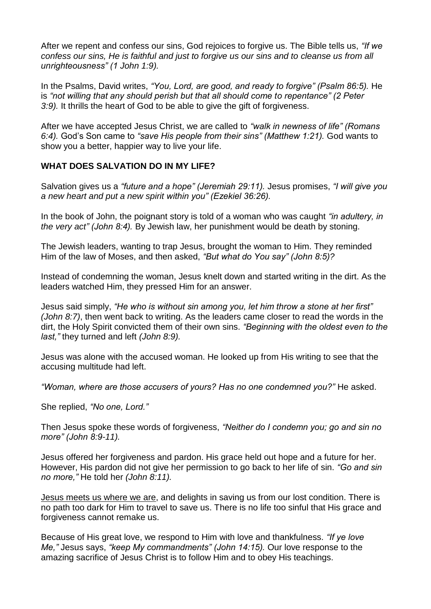After we repent and confess our sins, God rejoices to forgive us. The Bible tells us, *"If we confess our sins, He is faithful and just to forgive us our sins and to cleanse us from all unrighteousness" (1 John 1:9).*

In the Psalms, David writes, *"You, Lord, are good, and ready to forgive" (Psalm 86:5).* He is *"not willing that any should perish but that all should come to repentance" (2 Peter 3:9).* It thrills the heart of God to be able to give the gift of forgiveness.

After we have accepted Jesus Christ, we are called to *"walk in newness of life" (Romans 6:4).* God's Son came to *"save His people from their sins" (Matthew 1:21).* God wants to show you a better, happier way to live your life.

### **WHAT DOES SALVATION DO IN MY LIFE?**

Salvation gives us a *"future and a hope" (Jeremiah 29:11).* Jesus promises, *"I will give you a new heart and put a new spirit within you" (Ezekiel 36:26).*

In the book of John, the poignant story is told of a woman who was caught *"in adultery, in the very act" (John 8:4).* By Jewish law, her punishment would be death by stoning.

The Jewish leaders, wanting to trap Jesus, brought the woman to Him. They reminded Him of the law of Moses, and then asked, *"But what do You say" (John 8:5)?*

Instead of condemning the woman, Jesus knelt down and started writing in the dirt. As the leaders watched Him, they pressed Him for an answer.

Jesus said simply, *"He who is without sin among you, let him throw a stone at her first" (John 8:7)*, then went back to writing. As the leaders came closer to read the words in the dirt, the Holy Spirit convicted them of their own sins. *"Beginning with the oldest even to the last,"* they turned and left *(John 8:9).*

Jesus was alone with the accused woman. He looked up from His writing to see that the accusing multitude had left.

*"Woman, where are those accusers of yours? Has no one condemned you?"* He asked.

She replied, *"No one, Lord."*

Then Jesus spoke these words of forgiveness, *"Neither do I condemn you; go and sin no more" (John 8:9-11).*

Jesus offered her forgiveness and pardon. His grace held out hope and a future for her. However, His pardon did not give her permission to go back to her life of sin. *"Go and sin no more,"* He told her *(John 8:11).*

Jesus [meets](https://www.adventist.org/experience-of-salvation/why-the-experience-of-salvation-matters/) us where we are, and delights in saving us from our lost condition. There is no path too dark for Him to travel to save us. There is no life too sinful that His grace and forgiveness cannot remake us.

Because of His great love, we respond to Him with love and thankfulness. *"If ye love Me,"* Jesus says, *"keep My commandments" (John 14:15).* Our love response to the amazing sacrifice of Jesus Christ is to follow Him and to obey His teachings.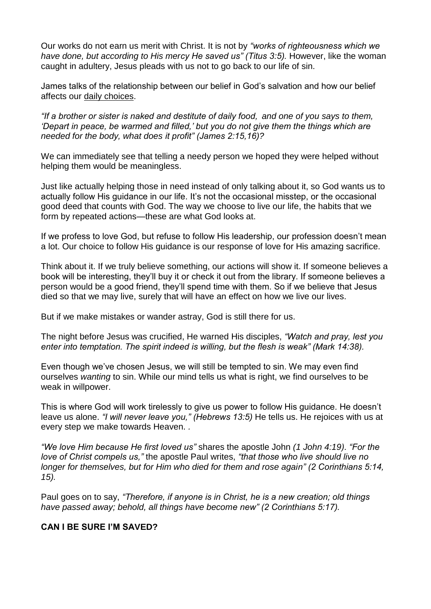Our works do not earn us merit with Christ. It is not by *"works of righteousness which we have done, but according to His mercy He saved us" (Titus 3:5).* However, like the woman caught in adultery, Jesus pleads with us not to go back to our life of sin.

James talks of the relationship between our belief in God's salvation and how our belief affects our daily [choices.](https://www.adventist.org/christian-behavior/)

*"If a brother or sister is naked and destitute of daily food, and one of you says to them, 'Depart in peace, be warmed and filled,' but you do not give them the things which are needed for the body, what does it profit" (James 2:15,16)?*

We can immediately see that telling a needy person we hoped they were helped without helping them would be meaningless.

Just like actually helping those in need instead of only talking about it, so God wants us to actually follow His guidance in our life. It's not the occasional misstep, or the occasional good deed that counts with God. The way we choose to live our life, the habits that we form by repeated actions—these are what God looks at.

If we profess to love God, but refuse to follow His leadership, our profession doesn't mean a lot. Our choice to follow His guidance is our response of love for His amazing sacrifice.

Think about it. If we truly believe something, our actions will show it. If someone believes a book will be interesting, they'll buy it or check it out from the library. If someone believes a person would be a good friend, they'll spend time with them. So if we believe that Jesus died so that we may live, surely that will have an effect on how we live our lives.

But if we make mistakes or wander astray, God is still there for us.

The night before Jesus was crucified, He warned His disciples, *"Watch and pray, lest you enter into temptation. The spirit indeed is willing, but the flesh is weak" (Mark 14:38).*

Even though we've chosen Jesus, we will still be tempted to sin. We may even find ourselves *wanting* to sin. While our mind tells us what is right, we find ourselves to be weak in willpower.

This is where God will work tirelessly to give us power to follow His guidance. He doesn't leave us alone. *"I will never leave you," (Hebrews 13:5)* He tells us. He rejoices with us at every step we make towards Heaven. *.*

*"We love Him because He first loved us"* shares the apostle John *(1 John 4:19). "For the love of Christ compels us,"* the apostle Paul writes, *"that those who live should live no longer for themselves, but for Him who died for them and rose again" (2 Corinthians 5:14, 15).*

Paul goes on to say, *"Therefore, if anyone is in Christ, he is a new creation; old things have passed away; behold, all things have become new" (2 Corinthians 5:17).*

# **CAN I BE SURE I'M SAVED?**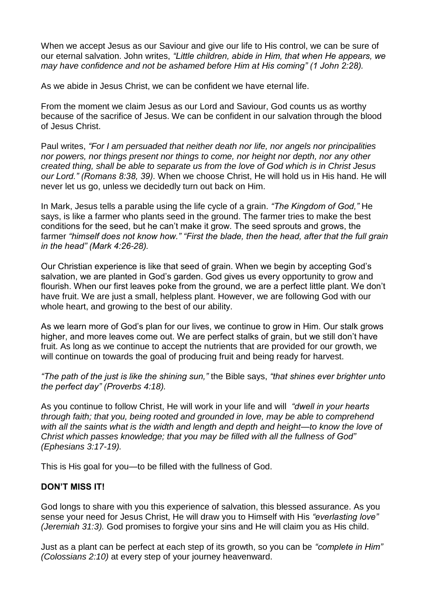When we accept Jesus as our Saviour and give our life to His control, we can be sure of our eternal salvation. John writes, *"Little children, abide in Him, that when He appears, we may have confidence and not be ashamed before Him at His coming" (1 John 2:28).*

As we abide in Jesus Christ, we can be confident we have eternal life.

From the moment we claim Jesus as our Lord and Saviour, God counts us as worthy because of the sacrifice of Jesus. We can be confident in our salvation through the blood of Jesus Christ.

Paul writes, *"For I am persuaded that neither death nor life, nor angels nor principalities nor powers, nor things present nor things to come, nor height nor depth, nor any other created thing, shall be able to separate us from the love of God which is in Christ Jesus our Lord." (Romans 8:38, 39).* When we choose Christ, He will hold us in His hand. He will never let us go, unless we decidedly turn out back on Him.

In Mark, Jesus tells a parable using the life cycle of a grain. *"The Kingdom of God,"* He says, is like a farmer who plants seed in the ground. The farmer tries to make the best conditions for the seed, but he can't make it grow. The seed sprouts and grows, the farmer *"himself does not know how." "First the blade, then the head, after that the full grain in the head" (Mark 4:26-28).*

Our Christian experience is like that seed of grain. When we begin by accepting God's salvation, we are planted in God's garden. God gives us every opportunity to grow and flourish. When our first leaves poke from the ground, we are a perfect little plant. We don't have fruit. We are just a small, helpless plant. However, we are following God with our whole heart, and growing to the best of our ability.

As we learn more of God's plan for our lives, we continue to grow in Him. Our stalk grows higher, and more leaves come out. We are perfect stalks of grain, but we still don't have fruit. As long as we continue to accept the nutrients that are provided for our growth, we will continue on towards the goal of producing fruit and being ready for harvest.

*"The path of the just is like the shining sun,"* the Bible says, *"that shines ever brighter unto the perfect day" (Proverbs 4:18).*

As you continue to follow Christ, He will work in your life and will *"dwell in your hearts through faith; that you, being rooted and grounded in love, may be able to comprehend with all the saints what is the width and length and depth and height—to know the love of Christ which passes knowledge; that you may be filled with all the fullness of God" (Ephesians 3:17-19).*

This is His goal for you—to be filled with the fullness of God.

#### **DON'T MISS IT!**

God longs to share with you this experience of salvation, this blessed assurance. As you sense your need for Jesus Christ, He will draw you to Himself with His *"everlasting love" (Jeremiah 31:3).* God promises to forgive your sins and He will claim you as His child.

Just as a plant can be perfect at each step of its growth, so you can be *"complete in Him" (Colossians 2:10)* at every step of your journey heavenward.